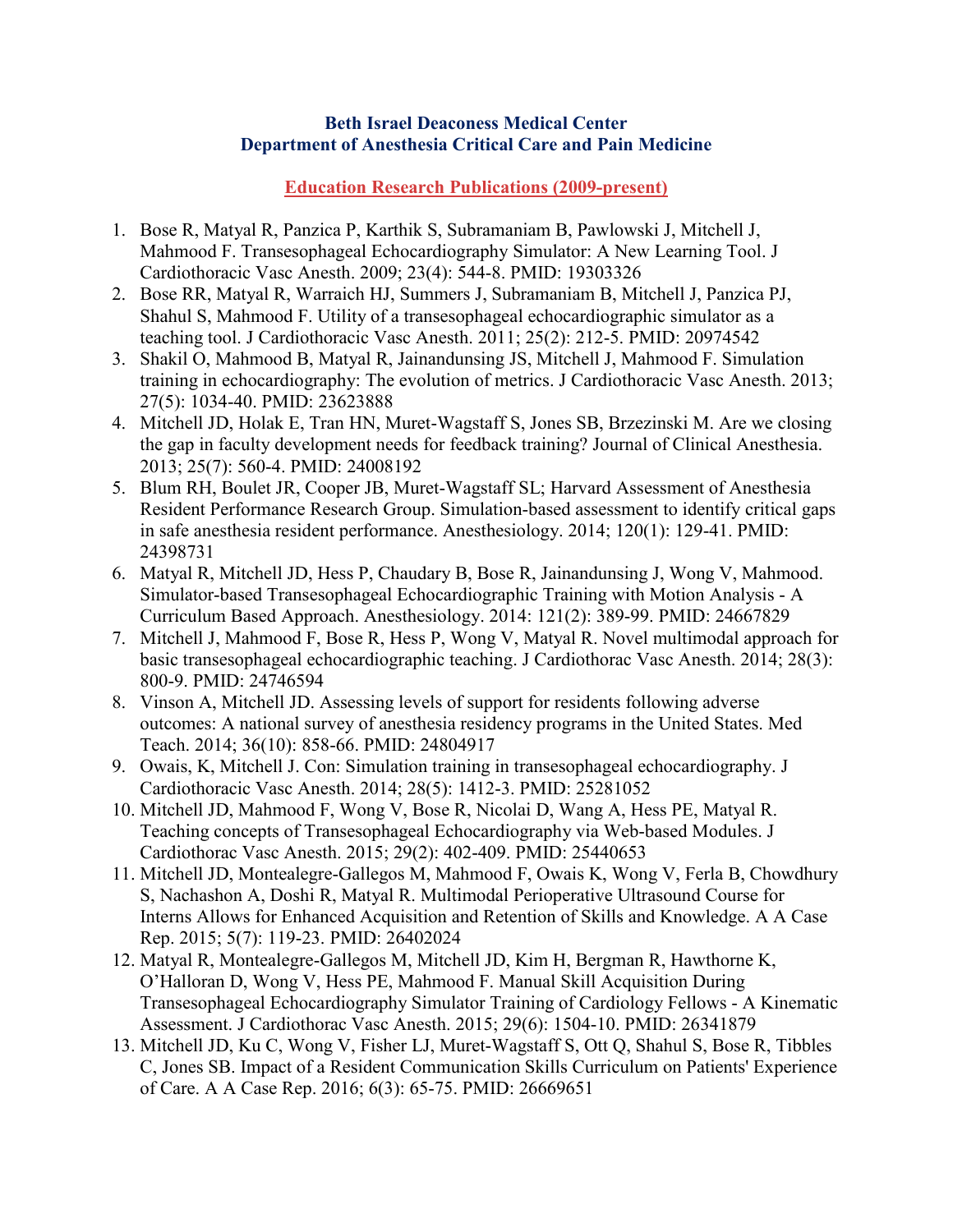## **Beth Israel Deaconess Medical Center Department of Anesthesia Critical Care and Pain Medicine**

## **Education Research Publications (2009-present)**

- 1. Bose R, Matyal R, Panzica P, Karthik S, Subramaniam B, Pawlowski J, Mitchell J, Mahmood F. Transesophageal Echocardiography Simulator: A New Learning Tool. J Cardiothoracic Vasc Anesth. 2009; 23(4): 544-8. PMID: 19303326
- 2. Bose RR, Matyal R, Warraich HJ, Summers J, Subramaniam B, Mitchell J, Panzica PJ, Shahul S, Mahmood F. Utility of a transesophageal echocardiographic simulator as a teaching tool. J Cardiothoracic Vasc Anesth. 2011; 25(2): 212-5. PMID: 20974542
- 3. Shakil O, Mahmood B, Matyal R, Jainandunsing JS, Mitchell J, Mahmood F. Simulation training in echocardiography: The evolution of metrics. J Cardiothoracic Vasc Anesth. 2013; 27(5): 1034-40. PMID: 23623888
- 4. Mitchell JD, Holak E, Tran HN, Muret-Wagstaff S, Jones SB, Brzezinski M. Are we closing the gap in faculty development needs for feedback training? Journal of Clinical Anesthesia. 2013; 25(7): 560-4. PMID: 24008192
- 5. Blum RH, Boulet JR, Cooper JB, Muret-Wagstaff SL; Harvard Assessment of Anesthesia Resident Performance Research Group. Simulation-based assessment to identify critical gaps in safe anesthesia resident performance. Anesthesiology. 2014; 120(1): 129-41. PMID: 24398731
- 6. Matyal R, Mitchell JD, Hess P, Chaudary B, Bose R, Jainandunsing J, Wong V, Mahmood. Simulator-based Transesophageal Echocardiographic Training with Motion Analysis - A Curriculum Based Approach. Anesthesiology. 2014: 121(2): 389-99. PMID: 24667829
- 7. Mitchell J, Mahmood F, Bose R, Hess P, Wong V, Matyal R. Novel multimodal approach for basic transesophageal echocardiographic teaching. J Cardiothorac Vasc Anesth. 2014; 28(3): 800-9. PMID: 24746594
- 8. Vinson A, Mitchell JD. Assessing levels of support for residents following adverse outcomes: A national survey of anesthesia residency programs in the United States. Med Teach. 2014; 36(10): 858-66. PMID: 24804917
- 9. Owais, K, Mitchell J. Con: Simulation training in transesophageal echocardiography. J Cardiothoracic Vasc Anesth. 2014; 28(5): 1412-3. PMID: 25281052
- 10. Mitchell JD, Mahmood F, Wong V, Bose R, Nicolai D, Wang A, Hess PE, Matyal R. Teaching concepts of Transesophageal Echocardiography via Web-based Modules. J Cardiothorac Vasc Anesth. 2015; 29(2): 402-409. PMID: 25440653
- 11. Mitchell JD, Montealegre-Gallegos M, Mahmood F, Owais K, Wong V, Ferla B, Chowdhury S, Nachashon A, Doshi R, Matyal R. Multimodal Perioperative Ultrasound Course for Interns Allows for Enhanced Acquisition and Retention of Skills and Knowledge. A A Case Rep. 2015; 5(7): 119-23. PMID: 26402024
- 12. Matyal R, Montealegre-Gallegos M, Mitchell JD, Kim H, Bergman R, Hawthorne K, O'Halloran D, Wong V, Hess PE, Mahmood F. Manual Skill Acquisition During Transesophageal Echocardiography Simulator Training of Cardiology Fellows - A Kinematic Assessment. J Cardiothorac Vasc Anesth. 2015; 29(6): 1504-10. PMID: 26341879
- 13. Mitchell JD, Ku C, Wong V, Fisher LJ, Muret-Wagstaff S, Ott Q, Shahul S, Bose R, Tibbles C, Jones SB. Impact of a Resident Communication Skills Curriculum on Patients' Experience of Care. A A Case Rep. 2016; 6(3): 65-75. PMID: 26669651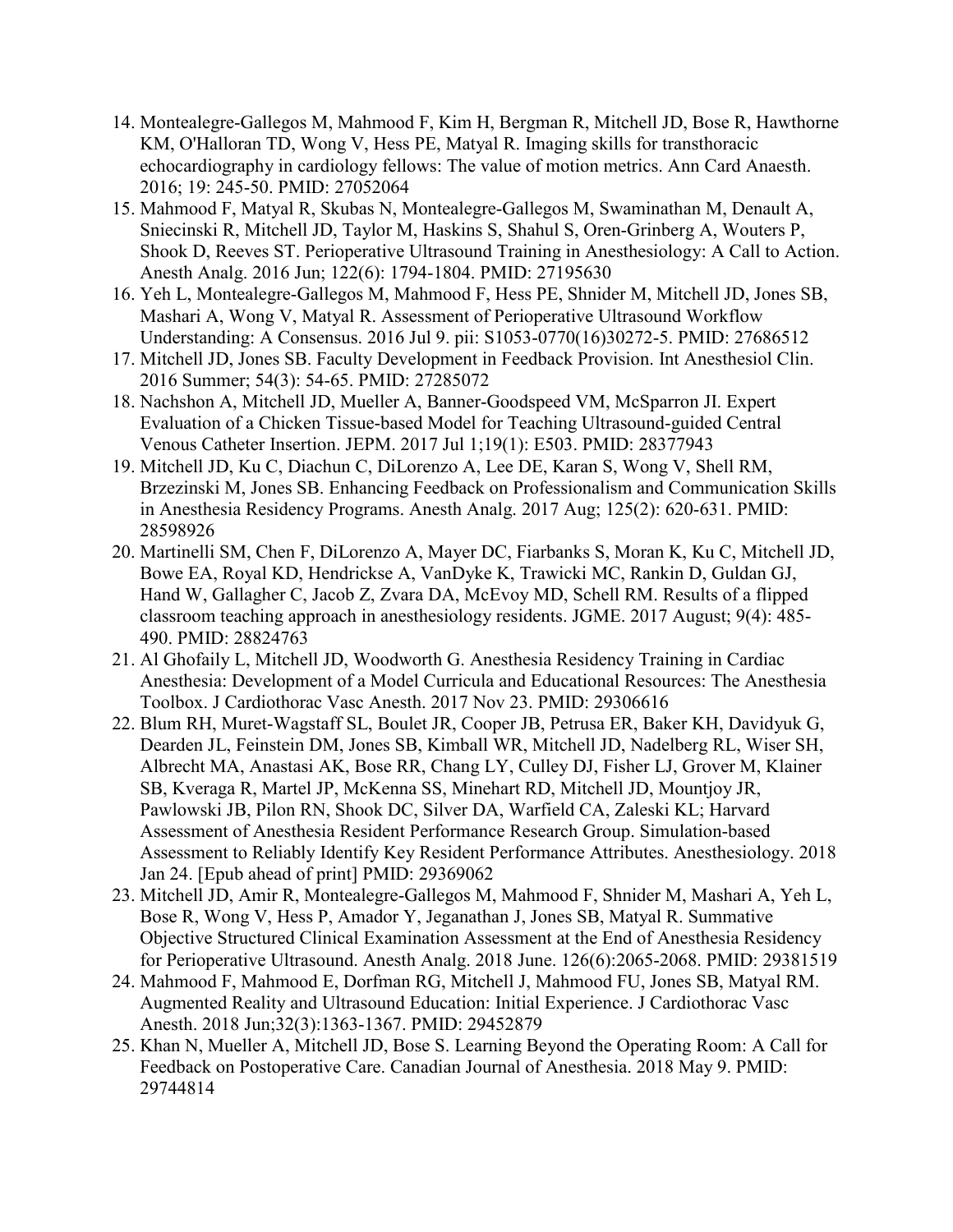- 14. Montealegre-Gallegos M, Mahmood F, Kim H, Bergman R, Mitchell JD, Bose R, Hawthorne KM, O'Halloran TD, Wong V, Hess PE, Matyal R. Imaging skills for transthoracic echocardiography in cardiology fellows: The value of motion metrics. Ann Card Anaesth. 2016; 19: 245-50. PMID: 27052064
- 15. Mahmood F, Matyal R, Skubas N, Montealegre-Gallegos M, Swaminathan M, Denault A, Sniecinski R, Mitchell JD, Taylor M, Haskins S, Shahul S, Oren-Grinberg A, Wouters P, Shook D, Reeves ST. Perioperative Ultrasound Training in Anesthesiology: A Call to Action. Anesth Analg. 2016 Jun; 122(6): 1794-1804. PMID: 27195630
- 16. Yeh L, Montealegre-Gallegos M, Mahmood F, Hess PE, Shnider M, Mitchell JD, Jones SB, Mashari A, Wong V, Matyal R. Assessment of Perioperative Ultrasound Workflow Understanding: A Consensus. 2016 Jul 9. pii: S1053-0770(16)30272-5. PMID: 27686512
- 17. Mitchell JD, Jones SB. Faculty Development in Feedback Provision. Int Anesthesiol Clin. 2016 Summer; 54(3): 54-65. PMID: 27285072
- 18. Nachshon A, Mitchell JD, Mueller A, Banner-Goodspeed VM, McSparron JI. Expert Evaluation of a Chicken Tissue-based Model for Teaching Ultrasound-guided Central Venous Catheter Insertion. JEPM. 2017 Jul 1;19(1): E503. PMID: 28377943
- 19. Mitchell JD, Ku C, Diachun C, DiLorenzo A, Lee DE, Karan S, Wong V, Shell RM, Brzezinski M, Jones SB. Enhancing Feedback on Professionalism and Communication Skills in Anesthesia Residency Programs. Anesth Analg. 2017 Aug; 125(2): 620-631. PMID: 28598926
- 20. Martinelli SM, Chen F, DiLorenzo A, Mayer DC, Fiarbanks S, Moran K, Ku C, Mitchell JD, Bowe EA, Royal KD, Hendrickse A, VanDyke K, Trawicki MC, Rankin D, Guldan GJ, Hand W, Gallagher C, Jacob Z, Zvara DA, McEvoy MD, Schell RM. Results of a flipped classroom teaching approach in anesthesiology residents. JGME. 2017 August; 9(4): 485- 490. PMID: 28824763
- 21. Al Ghofaily L, Mitchell JD, Woodworth G. Anesthesia Residency Training in Cardiac Anesthesia: Development of a Model Curricula and Educational Resources: The Anesthesia Toolbox. J Cardiothorac Vasc Anesth. 2017 Nov 23. PMID: 29306616
- 22. Blum RH, Muret-Wagstaff SL, Boulet JR, Cooper JB, Petrusa ER, Baker KH, Davidyuk G, Dearden JL, Feinstein DM, Jones SB, Kimball WR, Mitchell JD, Nadelberg RL, Wiser SH, Albrecht MA, Anastasi AK, Bose RR, Chang LY, Culley DJ, Fisher LJ, Grover M, Klainer SB, Kveraga R, Martel JP, McKenna SS, Minehart RD, Mitchell JD, Mountjoy JR, Pawlowski JB, Pilon RN, Shook DC, Silver DA, Warfield CA, Zaleski KL; Harvard Assessment of Anesthesia Resident Performance Research Group. Simulation-based Assessment to Reliably Identify Key Resident Performance Attributes. Anesthesiology. 2018 Jan 24. [Epub ahead of print] PMID: 29369062
- 23. Mitchell JD, Amir R, Montealegre-Gallegos M, Mahmood F, Shnider M, Mashari A, Yeh L, Bose R, Wong V, Hess P, Amador Y, Jeganathan J, Jones SB, Matyal R. Summative Objective Structured Clinical Examination Assessment at the End of Anesthesia Residency for Perioperative Ultrasound. Anesth Analg. 2018 June. 126(6):2065-2068. PMID: 29381519
- 24. Mahmood F, Mahmood E, Dorfman RG, Mitchell J, Mahmood FU, Jones SB, Matyal RM. Augmented Reality and Ultrasound Education: Initial Experience. J Cardiothorac Vasc Anesth. 2018 Jun;32(3):1363-1367. PMID: 29452879
- 25. Khan N, Mueller A, Mitchell JD, Bose S. Learning Beyond the Operating Room: A Call for Feedback on Postoperative Care. Canadian Journal of Anesthesia. 2018 May 9. PMID: 29744814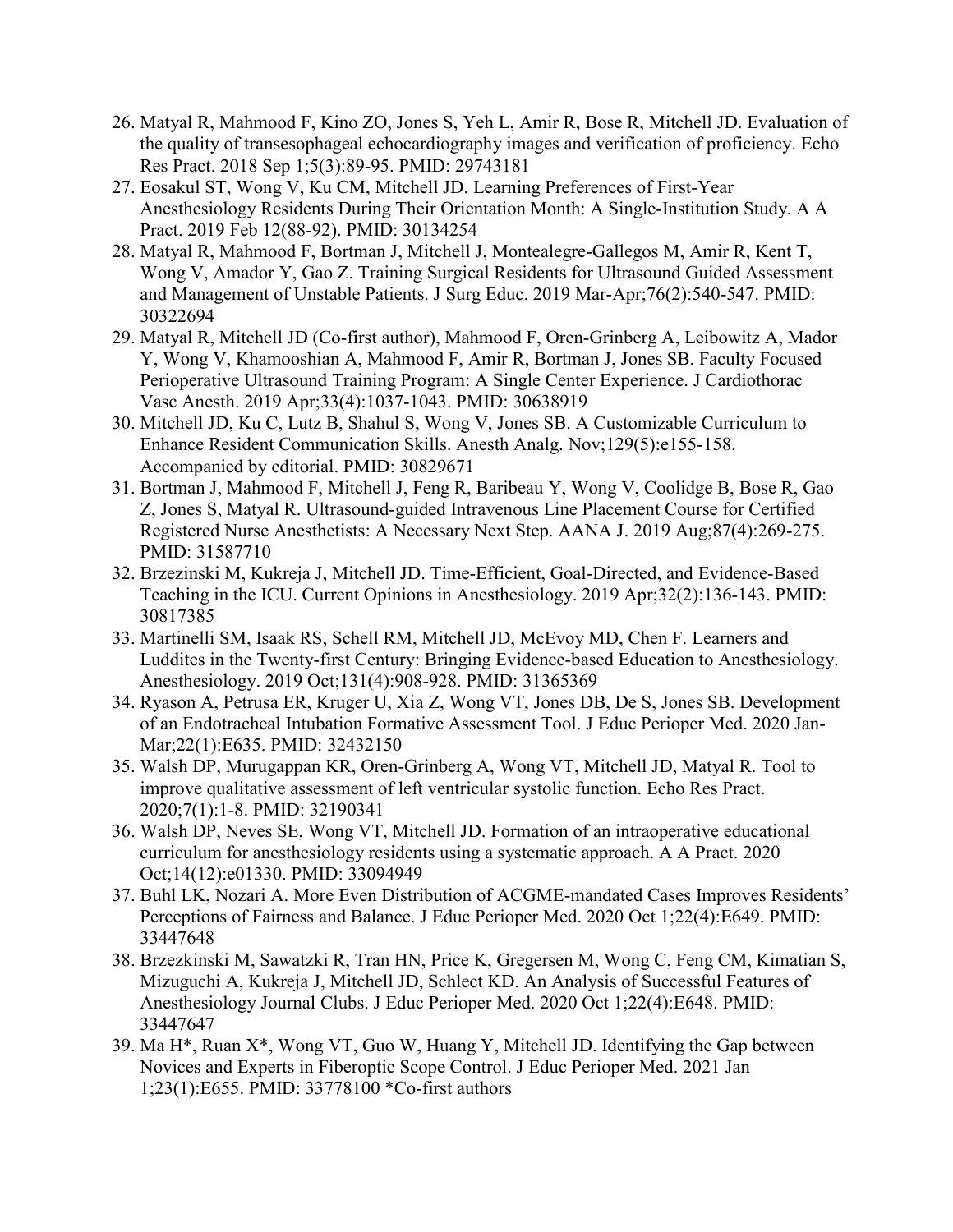- 26. Matyal R, Mahmood F, Kino ZO, Jones S, Yeh L, Amir R, Bose R, Mitchell JD. Evaluation of the quality of transesophageal echocardiography images and verification of proficiency. Echo Res Pract. 2018 Sep 1;5(3):89-95. PMID: 29743181
- 27. Eosakul ST, Wong V, Ku CM, Mitchell JD. Learning Preferences of First-Year Anesthesiology Residents During Their Orientation Month: A Single-Institution Study. A A Pract. 2019 Feb 12(88-92). PMID: 30134254
- 28. Matyal R, Mahmood F, Bortman J, Mitchell J, Montealegre-Gallegos M, Amir R, Kent T, Wong V, Amador Y, Gao Z. Training Surgical Residents for Ultrasound Guided Assessment and Management of Unstable Patients. J Surg Educ. 2019 Mar-Apr;76(2):540-547. PMID: 30322694
- 29. Matyal R, Mitchell JD (Co-first author), Mahmood F, Oren-Grinberg A, Leibowitz A, Mador Y, Wong V, Khamooshian A, Mahmood F, Amir R, Bortman J, Jones SB. Faculty Focused Perioperative Ultrasound Training Program: A Single Center Experience. J Cardiothorac Vasc Anesth. 2019 Apr;33(4):1037-1043. PMID: 30638919
- 30. Mitchell JD, Ku C, Lutz B, Shahul S, Wong V, Jones SB. A Customizable Curriculum to Enhance Resident Communication Skills. Anesth Analg. Nov;129(5):e155-158. Accompanied by editorial. PMID: 30829671
- 31. Bortman J, Mahmood F, Mitchell J, Feng R, Baribeau Y, Wong V, Coolidge B, Bose R, Gao Z, Jones S, Matyal R. Ultrasound-guided Intravenous Line Placement Course for Certified Registered Nurse Anesthetists: A Necessary Next Step. AANA J. 2019 Aug;87(4):269-275. PMID: 31587710
- 32. Brzezinski M, Kukreja J, Mitchell JD. Time-Efficient, Goal-Directed, and Evidence-Based Teaching in the ICU. Current Opinions in Anesthesiology. 2019 Apr;32(2):136-143. PMID: 30817385
- 33. Martinelli SM, Isaak RS, Schell RM, Mitchell JD, McEvoy MD, Chen F. Learners and Luddites in the Twenty-first Century: Bringing Evidence-based Education to Anesthesiology. Anesthesiology. 2019 Oct;131(4):908-928. PMID: 31365369
- 34. Ryason A, Petrusa ER, Kruger U, Xia Z, Wong VT, Jones DB, De S, Jones SB. Development of an Endotracheal Intubation Formative Assessment Tool. J Educ Perioper Med. 2020 Jan-Mar;22(1):E635. PMID: 32432150
- 35. Walsh DP, Murugappan KR, Oren-Grinberg A, Wong VT, Mitchell JD, Matyal R. Tool to improve qualitative assessment of left ventricular systolic function. Echo Res Pract. 2020;7(1):1-8. PMID: 32190341
- 36. Walsh DP, Neves SE, Wong VT, Mitchell JD. Formation of an intraoperative educational curriculum for anesthesiology residents using a systematic approach. A A Pract. 2020 Oct;14(12):e01330. PMID: 33094949
- 37. Buhl LK, Nozari A. More Even Distribution of ACGME-mandated Cases Improves Residents' Perceptions of Fairness and Balance. J Educ Perioper Med. 2020 Oct 1;22(4):E649. PMID: 33447648
- 38. Brzezkinski M, Sawatzki R, Tran HN, Price K, Gregersen M, Wong C, Feng CM, Kimatian S, Mizuguchi A, Kukreja J, Mitchell JD, Schlect KD. An Analysis of Successful Features of Anesthesiology Journal Clubs. J Educ Perioper Med. 2020 Oct 1;22(4):E648. PMID: 33447647
- 39. Ma H\*, Ruan X\*, Wong VT, Guo W, Huang Y, Mitchell JD. Identifying the Gap between Novices and Experts in Fiberoptic Scope Control. J Educ Perioper Med. 2021 Jan 1;23(1):E655. PMID: 33778100 \*Co-first authors